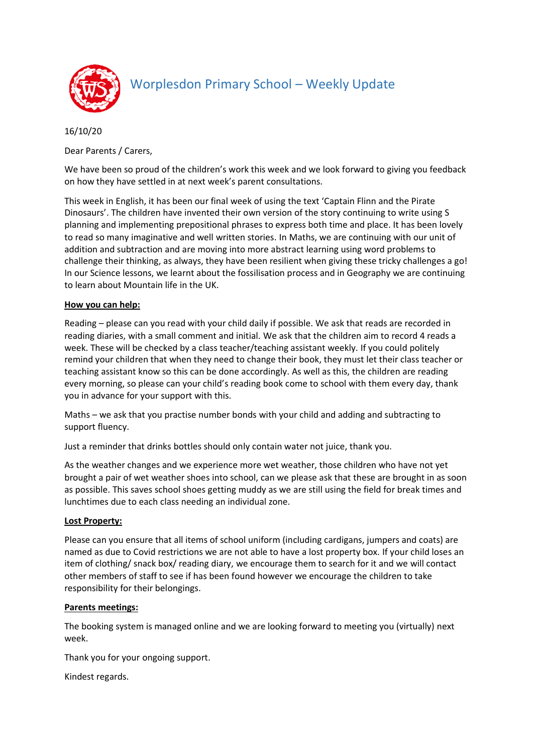

## Worplesdon Primary School – Weekly Update

16/10/20

Dear Parents / Carers,

We have been so proud of the children's work this week and we look forward to giving you feedback on how they have settled in at next week's parent consultations.

This week in English, it has been our final week of using the text 'Captain Flinn and the Pirate Dinosaurs'. The children have invented their own version of the story continuing to write using S planning and implementing prepositional phrases to express both time and place. It has been lovely to read so many imaginative and well written stories. In Maths, we are continuing with our unit of addition and subtraction and are moving into more abstract learning using word problems to challenge their thinking, as always, they have been resilient when giving these tricky challenges a go! In our Science lessons, we learnt about the fossilisation process and in Geography we are continuing to learn about Mountain life in the UK.

## **How you can help:**

Reading – please can you read with your child daily if possible. We ask that reads are recorded in reading diaries, with a small comment and initial. We ask that the children aim to record 4 reads a week. These will be checked by a class teacher/teaching assistant weekly. If you could politely remind your children that when they need to change their book, they must let their class teacher or teaching assistant know so this can be done accordingly. As well as this, the children are reading every morning, so please can your child's reading book come to school with them every day, thank you in advance for your support with this.

Maths – we ask that you practise number bonds with your child and adding and subtracting to support fluency.

Just a reminder that drinks bottles should only contain water not juice, thank you.

As the weather changes and we experience more wet weather, those children who have not yet brought a pair of wet weather shoes into school, can we please ask that these are brought in as soon as possible. This saves school shoes getting muddy as we are still using the field for break times and lunchtimes due to each class needing an individual zone.

## **Lost Property:**

Please can you ensure that all items of school uniform (including cardigans, jumpers and coats) are named as due to Covid restrictions we are not able to have a lost property box. If your child loses an item of clothing/ snack box/ reading diary, we encourage them to search for it and we will contact other members of staff to see if has been found however we encourage the children to take responsibility for their belongings.

## **Parents meetings:**

The booking system is managed online and we are looking forward to meeting you (virtually) next week.

Thank you for your ongoing support.

Kindest regards.